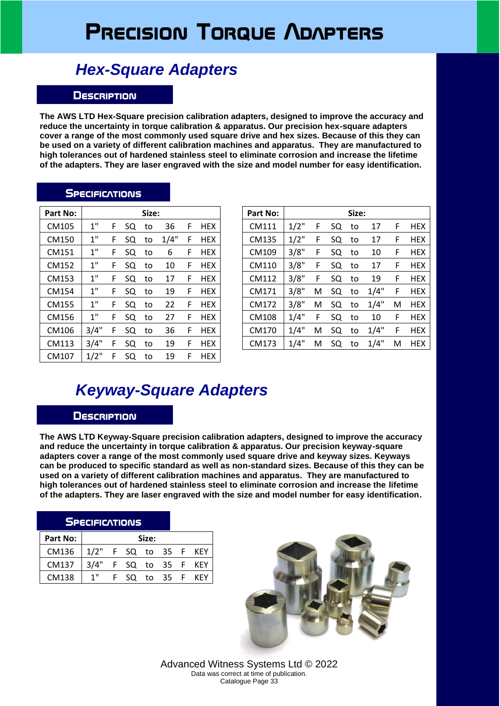# **Precision Torque Adapters**

## *Hex-Square Adapters*

### **Description**

**The AWS LTD Hex-Square precision calibration adapters, designed to improve the accuracy and reduce the uncertainty in torque calibration & apparatus. Our precision hex-square adapters cover a range of the most commonly used square drive and hex sizes. Because of this they can be used on a variety of different calibration machines and apparatus. They are manufactured to high tolerances out of hardened stainless steel to eliminate corrosion and increase the lifetime of the adapters. They are laser engraved with the size and model number for easy identification.**

### **SPECIFICATIONS**

| Part No: |         |   |    | Size: |      |   |            | Part No: |         |   |    | Size: |
|----------|---------|---|----|-------|------|---|------------|----------|---------|---|----|-------|
| CM105    | 1"      | F | SQ | to    | 36   | F | <b>HEX</b> | CM111    | $1/2$ " | F | SQ | to    |
| CM150    | 1"      | F | SQ | to    | 1/4" | F | <b>HEX</b> | CM135    | $1/2$ " | F | SQ | to    |
| CM151    | 1"      | F | SQ | to    | 6    | F | <b>HEX</b> | CM109    | 3/8"    | F | SQ | to    |
| CM152    | 1"      | F | SQ | to    | 10   | F | <b>HEX</b> | CM110    | 3/8"    | F | SQ | to    |
| CM153    | 1"      | F | SQ | to    | 17   | F | <b>HEX</b> | CM112    | 3/8"    | F | SQ | to    |
| CM154    | 1"      | F | SQ | to    | 19   | F | <b>HEX</b> | CM171    | 3/8"    | Μ | SQ | to    |
| CM155    | 1"      | F | SQ | to    | 22   | F | <b>HEX</b> | CM172    | 3/8"    | M | SQ | to    |
| CM156    | 1"      | F | SQ | to    | 27   | F | <b>HEX</b> | CM108    | 1/4"    | F | SQ | to    |
| CM106    | 3/4"    | F | SQ | to    | 36   | F | <b>HEX</b> | CM170    | 1/4"    | M | SQ | to    |
| CM113    | 3/4"    | F | SQ | to    | 19   | F | <b>HEX</b> | CM173    | 1/4"    | M | SQ | to    |
| CM107    | $1/2$ " | F | SQ | to    | 19   | F | <b>HEX</b> |          |         |   |    |       |

| art No: |      |   |    | Size: |      |   |            | Part No: |         |   |    | Size: |      |   |            |
|---------|------|---|----|-------|------|---|------------|----------|---------|---|----|-------|------|---|------------|
| CM105   | 1"   | F | SQ | to    | 36   | F | <b>HEX</b> | CM111    | $1/2$ " | F | SQ | to    | 17   | F | <b>HEX</b> |
| CM150   | 1"   | F | SQ | to    | 1/4" | F | <b>HEX</b> | CM135    | $1/2$ " | F | SQ | to    | 17   | F | <b>HEX</b> |
| CM151   | 1"   | F | SQ | to    | 6    | F | <b>HEX</b> | CM109    | 3/8"    | F | SQ | to    | 10   | F | <b>HEX</b> |
| CM152   | 1"   | F | SQ | to    | 10   | F | <b>HEX</b> | CM110    | 3/8"    | F | SQ | to    | 17   | F | <b>HEX</b> |
| CM153   | 1"   | F | SQ | to    | 17   | F | <b>HEX</b> | CM112    | 3/8"    | F | SQ | to    | 19   | F | <b>HEX</b> |
| CM154   | 1"   | F | SQ | to    | 19   | F | <b>HEX</b> | CM171    | 3/8"    | M | SQ | to    | 1/4" | F | <b>HEX</b> |
| CM155   | 1"   | F | SQ | to    | 22   | F | <b>HEX</b> | CM172    | 3/8"    | М | SQ | to    | 1/4" | M | <b>HEX</b> |
| CM156   | 1"   | F | SQ | to    | 27   | F | <b>HEX</b> | CM108    | 1/4"    | F | SQ | to    | 10   | F | <b>HEX</b> |
| CM106   | 3/4" | F | SQ | to    | 36   | F | <b>HEX</b> | CM170    | 1/4"    | M | SQ | to    | 1/4" | F | <b>HEX</b> |
| CM113   | 3/4" | F | SQ | to    | 19   | F | <b>HEX</b> | CM173    | 1/4"    | М | SQ | to    | 1/4" | M | <b>HEX</b> |
|         |      |   |    |       |      |   |            |          |         |   |    |       |      |   |            |

### *Keyway-Square Adapters*

#### **Description**

**The AWS LTD Keyway-Square precision calibration adapters, designed to improve the accuracy and reduce the uncertainty in torque calibration & apparatus. Our precision keyway-square adapters cover a range of the most commonly used square drive and keyway sizes. Keyways can be produced to specific standard as well as non-standard sizes. Because of this they can be used on a variety of different calibration machines and apparatus. They are manufactured to high tolerances out of hardened stainless steel to eliminate corrosion and increase the lifetime of the adapters. They are laser engraved with the size and model number for easy identification.**

| <b>SPECIFICATIONS</b> |                       |                  |       |  |  |
|-----------------------|-----------------------|------------------|-------|--|--|
| Part No:              |                       |                  | Size: |  |  |
| CM136                 | 1/2" F SQ to 35 F KEY |                  |       |  |  |
| CM137                 | 3/4" F SQ to 35 F KEY |                  |       |  |  |
| CM138                 | 1"                    | F SQ to 35 F KEY |       |  |  |



Advanced Witness Systems Ltd © 2022 Data was correct at time of publication. Catalogue Page 33